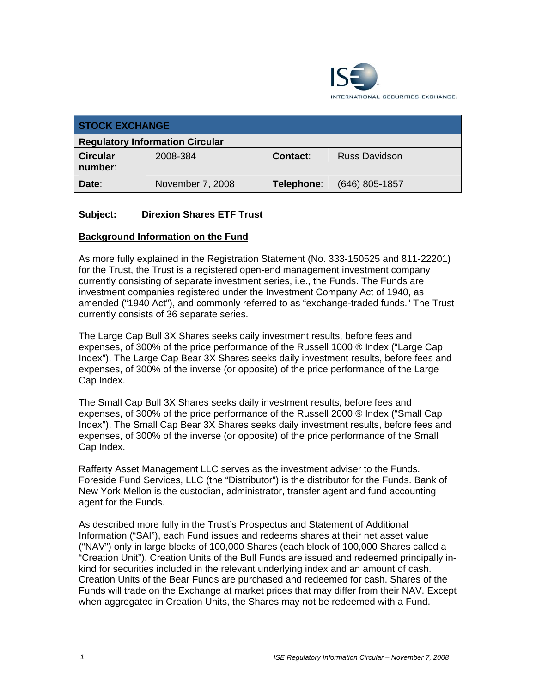

| <b>STOCK EXCHANGE</b>                  |                  |            |                      |  |
|----------------------------------------|------------------|------------|----------------------|--|
| <b>Regulatory Information Circular</b> |                  |            |                      |  |
| <b>Circular</b><br>number:             | 2008-384         | Contact:   | <b>Russ Davidson</b> |  |
| Date:                                  | November 7, 2008 | Telephone: | $(646)$ 805-1857     |  |

#### **Subject: Direxion Shares ETF Trust**

#### **Background Information on the Fund**

As more fully explained in the Registration Statement (No. 333-150525 and 811-22201) for the Trust, the Trust is a registered open-end management investment company currently consisting of separate investment series, i.e., the Funds. The Funds are investment companies registered under the Investment Company Act of 1940, as amended ("1940 Act"), and commonly referred to as "exchange-traded funds." The Trust currently consists of 36 separate series.

The Large Cap Bull 3X Shares seeks daily investment results, before fees and expenses, of 300% of the price performance of the Russell 1000 ® Index ("Large Cap Index"). The Large Cap Bear 3X Shares seeks daily investment results, before fees and expenses, of 300% of the inverse (or opposite) of the price performance of the Large Cap Index.

The Small Cap Bull 3X Shares seeks daily investment results, before fees and expenses, of 300% of the price performance of the Russell 2000 ® Index ("Small Cap Index"). The Small Cap Bear 3X Shares seeks daily investment results, before fees and expenses, of 300% of the inverse (or opposite) of the price performance of the Small Cap Index.

Rafferty Asset Management LLC serves as the investment adviser to the Funds. Foreside Fund Services, LLC (the "Distributor") is the distributor for the Funds. Bank of New York Mellon is the custodian, administrator, transfer agent and fund accounting agent for the Funds.

As described more fully in the Trust's Prospectus and Statement of Additional Information ("SAI"), each Fund issues and redeems shares at their net asset value ("NAV") only in large blocks of 100,000 Shares (each block of 100,000 Shares called a "Creation Unit"). Creation Units of the Bull Funds are issued and redeemed principally inkind for securities included in the relevant underlying index and an amount of cash. Creation Units of the Bear Funds are purchased and redeemed for cash. Shares of the Funds will trade on the Exchange at market prices that may differ from their NAV. Except when aggregated in Creation Units, the Shares may not be redeemed with a Fund.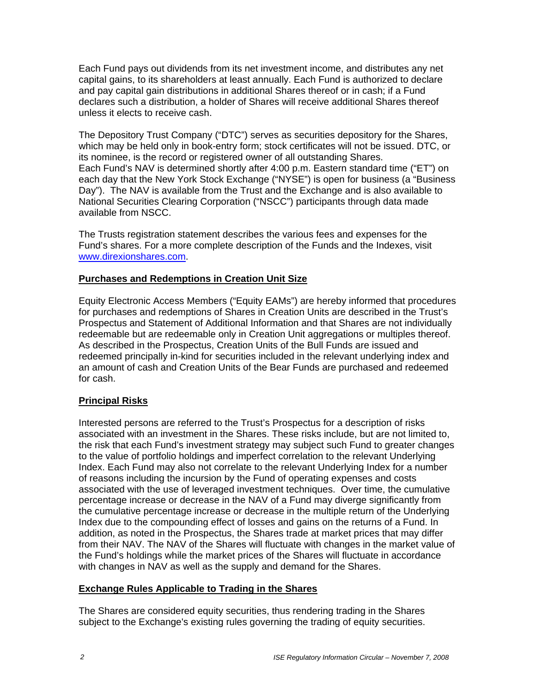Each Fund pays out dividends from its net investment income, and distributes any net capital gains, to its shareholders at least annually. Each Fund is authorized to declare and pay capital gain distributions in additional Shares thereof or in cash; if a Fund declares such a distribution, a holder of Shares will receive additional Shares thereof unless it elects to receive cash.

The Depository Trust Company ("DTC") serves as securities depository for the Shares, which may be held only in book-entry form; stock certificates will not be issued. DTC, or its nominee, is the record or registered owner of all outstanding Shares. Each Fund's NAV is determined shortly after 4:00 p.m. Eastern standard time ("ET") on each day that the New York Stock Exchange ("NYSE") is open for business (a "Business Day"). The NAV is available from the Trust and the Exchange and is also available to National Securities Clearing Corporation ("NSCC") participants through data made available from NSCC.

The Trusts registration statement describes the various fees and expenses for the Fund's shares. For a more complete description of the Funds and the Indexes, visit www.direxionshares.com.

#### **Purchases and Redemptions in Creation Unit Size**

Equity Electronic Access Members ("Equity EAMs") are hereby informed that procedures for purchases and redemptions of Shares in Creation Units are described in the Trust's Prospectus and Statement of Additional Information and that Shares are not individually redeemable but are redeemable only in Creation Unit aggregations or multiples thereof. As described in the Prospectus, Creation Units of the Bull Funds are issued and redeemed principally in-kind for securities included in the relevant underlying index and an amount of cash and Creation Units of the Bear Funds are purchased and redeemed for cash.

#### **Principal Risks**

Interested persons are referred to the Trust's Prospectus for a description of risks associated with an investment in the Shares. These risks include, but are not limited to, the risk that each Fund's investment strategy may subject such Fund to greater changes to the value of portfolio holdings and imperfect correlation to the relevant Underlying Index. Each Fund may also not correlate to the relevant Underlying Index for a number of reasons including the incursion by the Fund of operating expenses and costs associated with the use of leveraged investment techniques. Over time, the cumulative percentage increase or decrease in the NAV of a Fund may diverge significantly from the cumulative percentage increase or decrease in the multiple return of the Underlying Index due to the compounding effect of losses and gains on the returns of a Fund. In addition, as noted in the Prospectus, the Shares trade at market prices that may differ from their NAV. The NAV of the Shares will fluctuate with changes in the market value of the Fund's holdings while the market prices of the Shares will fluctuate in accordance with changes in NAV as well as the supply and demand for the Shares.

#### **Exchange Rules Applicable to Trading in the Shares**

The Shares are considered equity securities, thus rendering trading in the Shares subject to the Exchange's existing rules governing the trading of equity securities.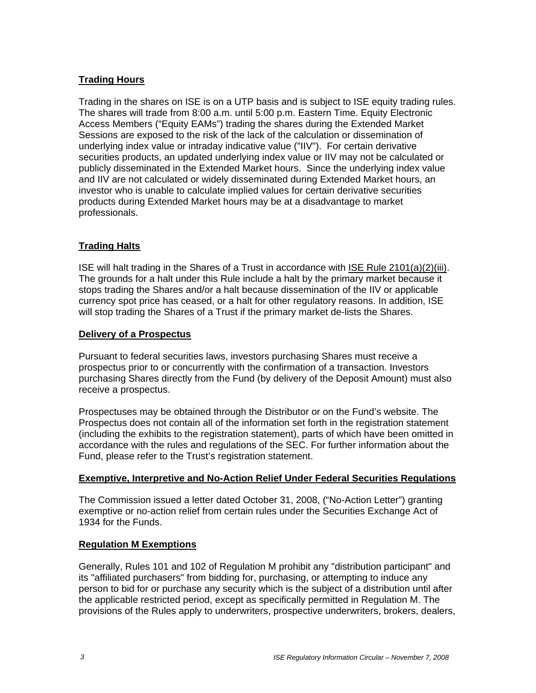## **Trading Hours**

Trading in the shares on ISE is on a UTP basis and is subject to ISE equity trading rules. The shares will trade from 8:00 a.m. until 5:00 p.m. Eastern Time. Equity Electronic Access Members ("Equity EAMs") trading the shares during the Extended Market Sessions are exposed to the risk of the lack of the calculation or dissemination of underlying index value or intraday indicative value ("IIV"). For certain derivative securities products, an updated underlying index value or IIV may not be calculated or publicly disseminated in the Extended Market hours. Since the underlying index value and IIV are not calculated or widely disseminated during Extended Market hours, an investor who is unable to calculate implied values for certain derivative securities products during Extended Market hours may be at a disadvantage to market professionals.

## **Trading Halts**

ISE will halt trading in the Shares of a Trust in accordance with ISE Rule 2101(a)(2)(iii). The grounds for a halt under this Rule include a halt by the primary market because it stops trading the Shares and/or a halt because dissemination of the IIV or applicable currency spot price has ceased, or a halt for other regulatory reasons. In addition, ISE will stop trading the Shares of a Trust if the primary market de-lists the Shares.

#### **Delivery of a Prospectus**

Pursuant to federal securities laws, investors purchasing Shares must receive a prospectus prior to or concurrently with the confirmation of a transaction. Investors purchasing Shares directly from the Fund (by delivery of the Deposit Amount) must also receive a prospectus.

Prospectuses may be obtained through the Distributor or on the Fund's website. The Prospectus does not contain all of the information set forth in the registration statement (including the exhibits to the registration statement), parts of which have been omitted in accordance with the rules and regulations of the SEC. For further information about the Fund, please refer to the Trust's registration statement.

#### **Exemptive, Interpretive and No-Action Relief Under Federal Securities Regulations**

The Commission issued a letter dated October 31, 2008, ("No-Action Letter") granting exemptive or no-action relief from certain rules under the Securities Exchange Act of 1934 for the Funds.

#### **Regulation M Exemptions**

Generally, Rules 101 and 102 of Regulation M prohibit any "distribution participant" and its "affiliated purchasers" from bidding for, purchasing, or attempting to induce any person to bid for or purchase any security which is the subject of a distribution until after the applicable restricted period, except as specifically permitted in Regulation M. The provisions of the Rules apply to underwriters, prospective underwriters, brokers, dealers,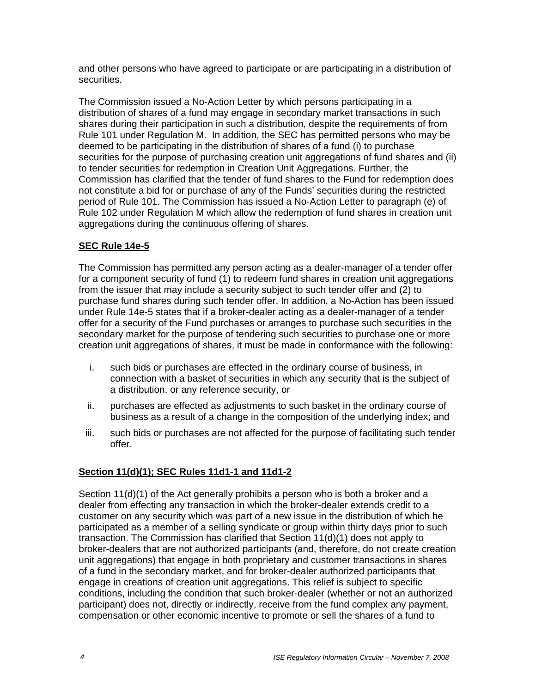and other persons who have agreed to participate or are participating in a distribution of securities.

The Commission issued a No-Action Letter by which persons participating in a distribution of shares of a fund may engage in secondary market transactions in such shares during their participation in such a distribution, despite the requirements of from Rule 101 under Regulation M. In addition, the SEC has permitted persons who may be deemed to be participating in the distribution of shares of a fund (i) to purchase securities for the purpose of purchasing creation unit aggregations of fund shares and (ii) to tender securities for redemption in Creation Unit Aggregations. Further, the Commission has clarified that the tender of fund shares to the Fund for redemption does not constitute a bid for or purchase of any of the Funds' securities during the restricted period of Rule 101. The Commission has issued a No-Action Letter to paragraph (e) of Rule 102 under Regulation M which allow the redemption of fund shares in creation unit aggregations during the continuous offering of shares.

#### **SEC Rule 14e-5**

The Commission has permitted any person acting as a dealer-manager of a tender offer for a component security of fund (1) to redeem fund shares in creation unit aggregations from the issuer that may include a security subject to such tender offer and (2) to purchase fund shares during such tender offer. In addition, a No-Action has been issued under Rule 14e-5 states that if a broker-dealer acting as a dealer-manager of a tender offer for a security of the Fund purchases or arranges to purchase such securities in the secondary market for the purpose of tendering such securities to purchase one or more creation unit aggregations of shares, it must be made in conformance with the following:

- i. such bids or purchases are effected in the ordinary course of business, in connection with a basket of securities in which any security that is the subject of a distribution, or any reference security, or
- ii. purchases are effected as adjustments to such basket in the ordinary course of business as a result of a change in the composition of the underlying index; and
- iii. such bids or purchases are not affected for the purpose of facilitating such tender offer.

# **Section 11(d)(1); SEC Rules 11d1-1 and 11d1-2**

Section 11(d)(1) of the Act generally prohibits a person who is both a broker and a dealer from effecting any transaction in which the broker-dealer extends credit to a customer on any security which was part of a new issue in the distribution of which he participated as a member of a selling syndicate or group within thirty days prior to such transaction. The Commission has clarified that Section 11(d)(1) does not apply to broker-dealers that are not authorized participants (and, therefore, do not create creation unit aggregations) that engage in both proprietary and customer transactions in shares of a fund in the secondary market, and for broker-dealer authorized participants that engage in creations of creation unit aggregations. This relief is subject to specific conditions, including the condition that such broker-dealer (whether or not an authorized participant) does not, directly or indirectly, receive from the fund complex any payment, compensation or other economic incentive to promote or sell the shares of a fund to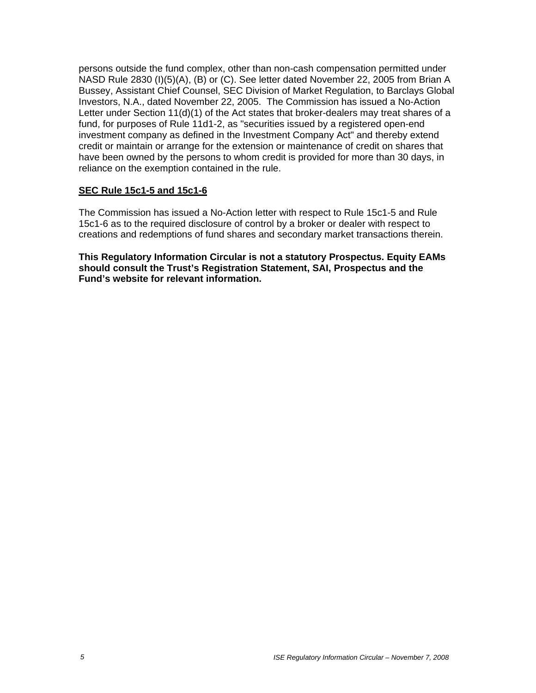persons outside the fund complex, other than non-cash compensation permitted under NASD Rule 2830 (I)(5)(A), (B) or (C). See letter dated November 22, 2005 from Brian A Bussey, Assistant Chief Counsel, SEC Division of Market Regulation, to Barclays Global Investors, N.A., dated November 22, 2005. The Commission has issued a No-Action Letter under Section 11(d)(1) of the Act states that broker-dealers may treat shares of a fund, for purposes of Rule 11d1-2, as "securities issued by a registered open-end investment company as defined in the Investment Company Act" and thereby extend credit or maintain or arrange for the extension or maintenance of credit on shares that have been owned by the persons to whom credit is provided for more than 30 days, in reliance on the exemption contained in the rule.

#### **SEC Rule 15c1-5 and 15c1-6**

The Commission has issued a No-Action letter with respect to Rule 15c1-5 and Rule 15c1-6 as to the required disclosure of control by a broker or dealer with respect to creations and redemptions of fund shares and secondary market transactions therein.

**This Regulatory Information Circular is not a statutory Prospectus. Equity EAMs should consult the Trust's Registration Statement, SAI, Prospectus and the Fund's website for relevant information.**